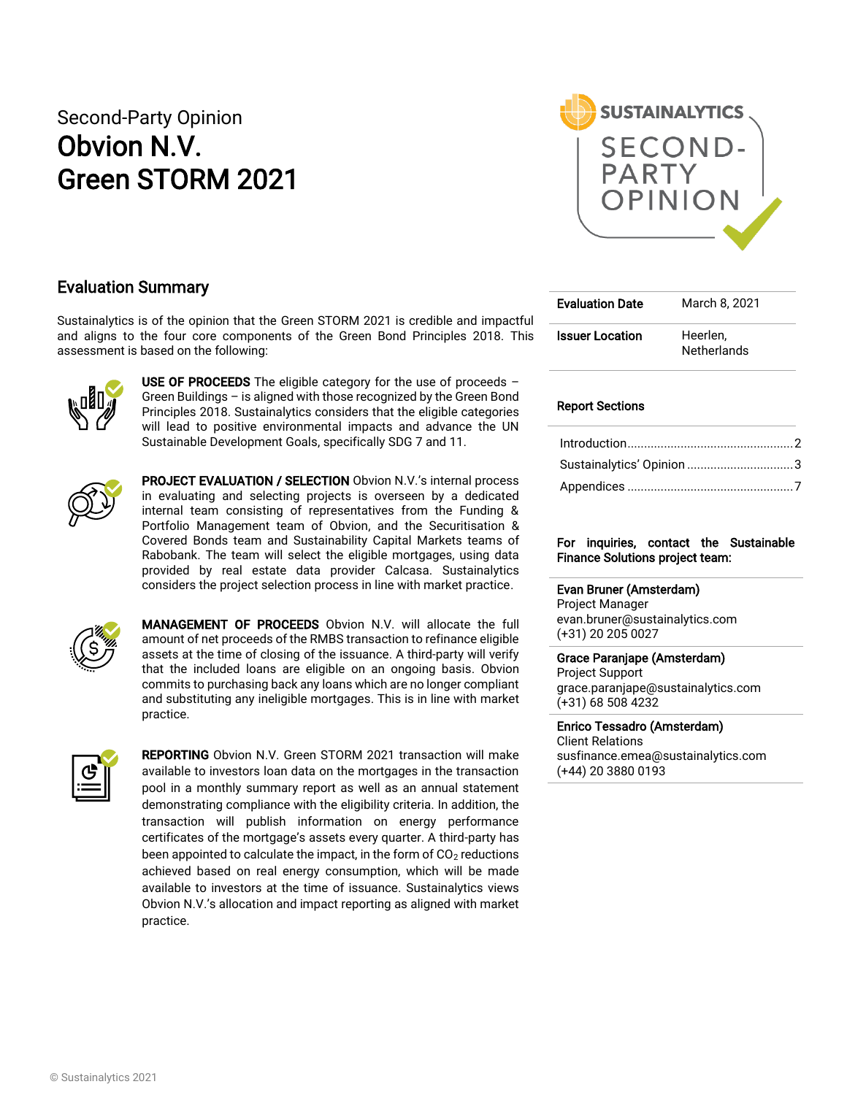# Second-Party Opinion Obvion N.V. Green STORM 2021



## Evaluation Summary

Sustainalytics is of the opinion that the Green STORM 2021 is credible and impactful and aligns to the four core components of the Green Bond Principles 2018. This assessment is based on the following:



USE OF PROCEEDS The eligible category for the use of proceeds  $-$ Green Buildings – is aligned with those recognized by the Green Bond Principles 2018. Sustainalytics considers that the eligible categories will lead to positive environmental impacts and advance the UN Sustainable Development Goals, specifically SDG 7 and 11.



PROJECT EVALUATION / SELECTION Obvion N.V.'s internal process in evaluating and selecting projects is overseen by a dedicated internal team consisting of representatives from the Funding & Portfolio Management team of Obvion, and the Securitisation & Covered Bonds team and Sustainability Capital Markets teams of Rabobank. The team will select the eligible mortgages, using data provided by real estate data provider Calcasa. Sustainalytics considers the project selection process in line with market practice.



MANAGEMENT OF PROCEEDS Obvion N.V. will allocate the full amount of net proceeds of the RMBS transaction to refinance eligible assets at the time of closing of the issuance. A third-party will verify that the included loans are eligible on an ongoing basis. Obvion commits to purchasing back any loans which are no longer compliant and substituting any ineligible mortgages. This is in line with market practice.



**REPORTING** Obvion N.V. Green STORM 2021 transaction will make available to investors loan data on the mortgages in the transaction pool in a monthly summary report as well as an annual statement demonstrating compliance with the eligibility criteria. In addition, the transaction will publish information on energy performance certificates of the mortgage's assets every quarter. A third-party has been appointed to calculate the impact, in the form of  $CO<sub>2</sub>$  reductions achieved based on real energy consumption, which will be made available to investors at the time of issuance. Sustainalytics views Obvion N.V.'s allocation and impact reporting as aligned with market practice.

| <b>Evaluation Date</b> | March 8, 2021                  |
|------------------------|--------------------------------|
| <b>Issuer Location</b> | Heerlen.<br><b>Netherlands</b> |

#### Report Sections

| Sustainalytics' Opinion 3 |  |
|---------------------------|--|
|                           |  |

#### For inquiries, contact the Sustainable Finance Solutions project team:

#### Evan Bruner (Amsterdam)

Project Manager evan.bruner@sustainalytics.com (+31) 20 205 0027

#### Grace Paranjape (Amsterdam)

Project Support grace.paranjape@sustainalytics.com (+31) 68 508 4232

#### Enrico Tessadro (Amsterdam)

Client Relations susfinance.emea@sustainalytics.com (+44) 20 3880 0193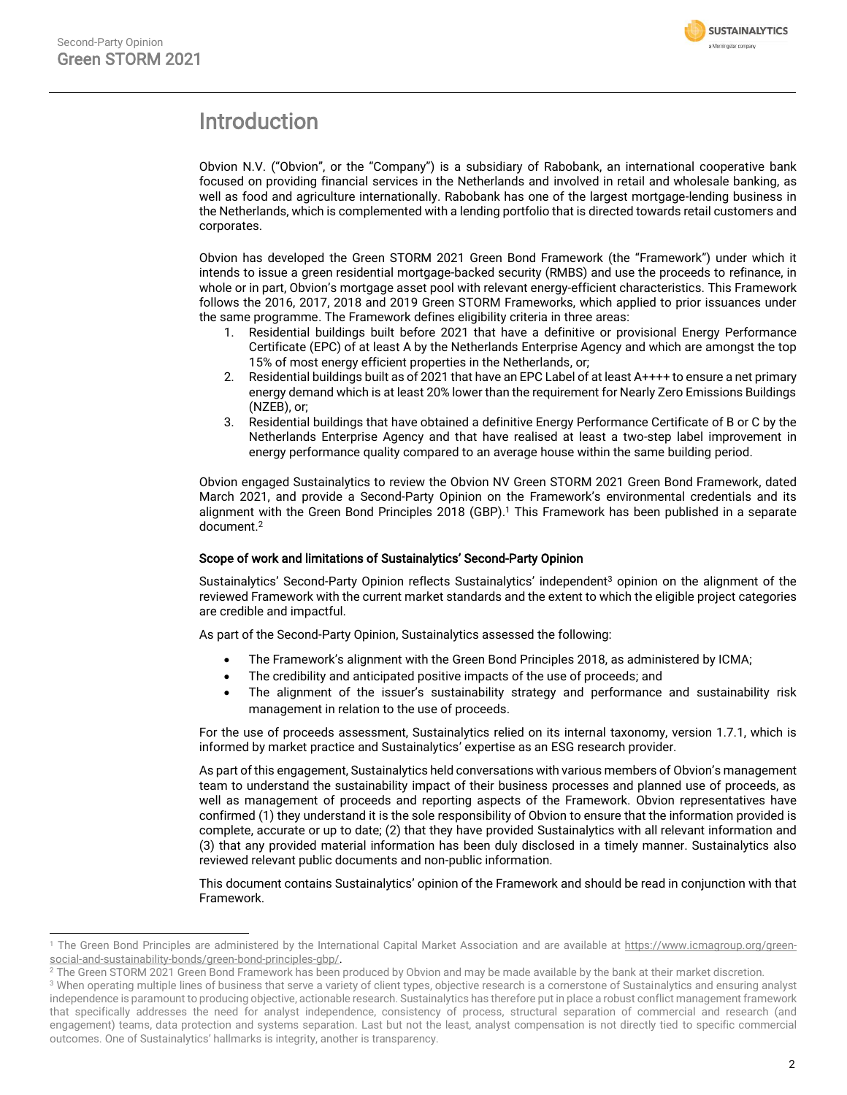

# <span id="page-1-0"></span>Introduction

Obvion N.V. ("Obvion", or the "Company") is a subsidiary of Rabobank, an international cooperative bank focused on providing financial services in the Netherlands and involved in retail and wholesale banking, as well as food and agriculture internationally. Rabobank has one of the largest mortgage-lending business in the Netherlands, which is complemented with a lending portfolio that is directed towards retail customers and corporates.

Obvion has developed the Green STORM 2021 Green Bond Framework (the "Framework") under which it intends to issue a green residential mortgage-backed security (RMBS) and use the proceeds to refinance, in whole or in part, Obvion's mortgage asset pool with relevant energy-efficient characteristics. This Framework follows the 2016, 2017, 2018 and 2019 Green STORM Frameworks, which applied to prior issuances under the same programme. The Framework defines eligibility criteria in three areas:

- 1. Residential buildings built before 2021 that have a definitive or provisional Energy Performance Certificate (EPC) of at least A by the Netherlands Enterprise Agency and which are amongst the top 15% of most energy efficient properties in the Netherlands, or;
- 2. Residential buildings built as of 2021 that have an EPC Label of at least A++++ to ensure a net primary energy demand which is at least 20% lower than the requirement for Nearly Zero Emissions Buildings (NZEB), or;
- 3. Residential buildings that have obtained a definitive Energy Performance Certificate of B or C by the Netherlands Enterprise Agency and that have realised at least a two-step label improvement in energy performance quality compared to an average house within the same building period.

Obvion engaged Sustainalytics to review the Obvion NV Green STORM 2021 Green Bond Framework, dated March 2021, and provide a Second-Party Opinion on the Framework's environmental credentials and its alignment with the Green Bond Principles 2018 (GBP). <sup>1</sup> This Framework has been published in a separate document. 2

#### Scope of work and limitations of Sustainalytics' Second-Party Opinion

Sustainalytics' Second-Party Opinion reflects Sustainalytics' independent<sup>3</sup> opinion on the alignment of the reviewed Framework with the current market standards and the extent to which the eligible project categories are credible and impactful.

As part of the Second-Party Opinion, Sustainalytics assessed the following:

- The Framework's alignment with the Green Bond Principles 2018, as administered by ICMA;
- The credibility and anticipated positive impacts of the use of proceeds; and
- The alignment of the issuer's sustainability strategy and performance and sustainability risk management in relation to the use of proceeds.

For the use of proceeds assessment, Sustainalytics relied on its internal taxonomy, version 1.7.1, which is informed by market practice and Sustainalytics' expertise as an ESG research provider.

As part of this engagement, Sustainalytics held conversations with various members of Obvion's management team to understand the sustainability impact of their business processes and planned use of proceeds, as well as management of proceeds and reporting aspects of the Framework. Obvion representatives have confirmed (1) they understand it is the sole responsibility of Obvion to ensure that the information provided is complete, accurate or up to date; (2) that they have provided Sustainalytics with all relevant information and (3) that any provided material information has been duly disclosed in a timely manner. Sustainalytics also reviewed relevant public documents and non-public information.

This document contains Sustainalytics' opinion of the Framework and should be read in conjunction with that Framework.

<sup>&</sup>lt;sup>1</sup> The Green Bond Principles are administered by the International Capital Market Association and are available at [https://www.icmagroup.org/green](https://www.icmagroup.org/green-social-and-sustainability-bonds/green-bond-principles-gbp/)[social-and-sustainability-bonds/green-bond-principles-gbp/.](https://www.icmagroup.org/green-social-and-sustainability-bonds/green-bond-principles-gbp/)

<sup>&</sup>lt;sup>2</sup> The Green STORM 2021 Green Bond Framework has been produced by Obvion and may be made available by the bank at their market discretion.

<sup>&</sup>lt;sup>3</sup> When operating multiple lines of business that serve a variety of client types, objective research is a cornerstone of Sustainalytics and ensuring analyst independence is paramount to producing objective, actionable research. Sustainalytics has therefore put in place a robust conflict management framework that specifically addresses the need for analyst independence, consistency of process, structural separation of commercial and research (and engagement) teams, data protection and systems separation. Last but not the least, analyst compensation is not directly tied to specific commercial outcomes. One of Sustainalytics' hallmarks is integrity, another is transparency.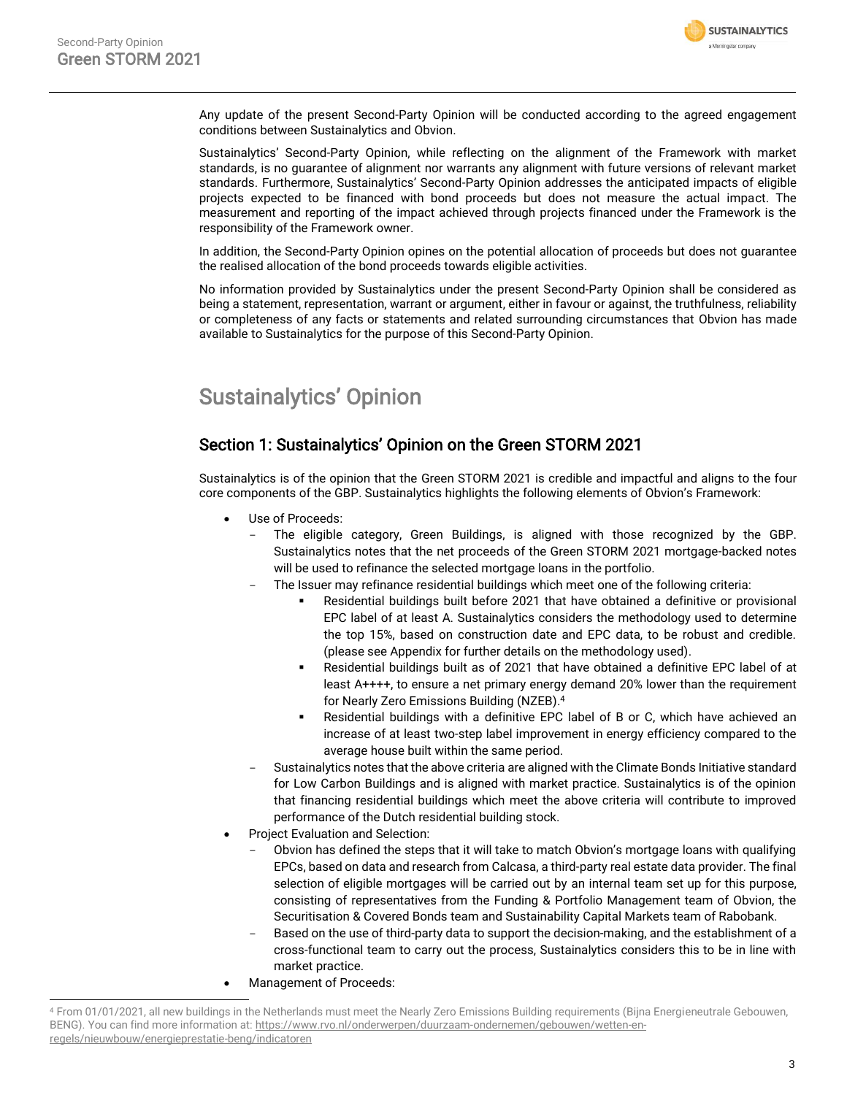

Any update of the present Second-Party Opinion will be conducted according to the agreed engagement conditions between Sustainalytics and Obvion.

Sustainalytics' Second-Party Opinion, while reflecting on the alignment of the Framework with market standards, is no guarantee of alignment nor warrants any alignment with future versions of relevant market standards. Furthermore, Sustainalytics' Second-Party Opinion addresses the anticipated impacts of eligible projects expected to be financed with bond proceeds but does not measure the actual impact. The measurement and reporting of the impact achieved through projects financed under the Framework is the responsibility of the Framework owner.

In addition, the Second-Party Opinion opines on the potential allocation of proceeds but does not guarantee the realised allocation of the bond proceeds towards eligible activities.

No information provided by Sustainalytics under the present Second-Party Opinion shall be considered as being a statement, representation, warrant or argument, either in favour or against, the truthfulness, reliability or completeness of any facts or statements and related surrounding circumstances that Obvion has made available to Sustainalytics for the purpose of this Second-Party Opinion.

# <span id="page-2-0"></span>Sustainalytics' Opinion

# Section 1: Sustainalytics' Opinion on the Green STORM 2021

Sustainalytics is of the opinion that the Green STORM 2021 is credible and impactful and aligns to the four core components of the GBP. Sustainalytics highlights the following elements of Obvion's Framework:

- Use of Proceeds:
	- The eligible category, Green Buildings, is aligned with those recognized by the GBP. Sustainalytics notes that the net proceeds of the Green STORM 2021 mortgage-backed notes will be used to refinance the selected mortgage loans in the portfolio.
	- The Issuer may refinance residential buildings which meet one of the following criteria:
		- Residential buildings built before 2021 that have obtained a definitive or provisional EPC label of at least A. Sustainalytics considers the methodology used to determine the top 15%, based on construction date and EPC data, to be robust and credible. (please see Appendix for further details on the methodology used).
		- Residential buildings built as of 2021 that have obtained a definitive EPC label of at least A++++, to ensure a net primary energy demand 20% lower than the requirement for Nearly Zero Emissions Building (NZEB). 4
		- Residential buildings with a definitive EPC label of B or C, which have achieved an increase of at least two-step label improvement in energy efficiency compared to the average house built within the same period.
	- Sustainalytics notes that the above criteria are aligned with the Climate Bonds Initiative standard for Low Carbon Buildings and is aligned with market practice. Sustainalytics is of the opinion that financing residential buildings which meet the above criteria will contribute to improved performance of the Dutch residential building stock.
- Project Evaluation and Selection:
	- Obvion has defined the steps that it will take to match Obvion's mortgage loans with qualifying EPCs, based on data and research from Calcasa, a third-party real estate data provider. The final selection of eligible mortgages will be carried out by an internal team set up for this purpose, consisting of representatives from the Funding & Portfolio Management team of Obvion, the Securitisation & Covered Bonds team and Sustainability Capital Markets team of Rabobank.
	- Based on the use of third-party data to support the decision-making, and the establishment of a cross-functional team to carry out the process, Sustainalytics considers this to be in line with market practice.
- Management of Proceeds:

<sup>4</sup> From 01/01/2021, all new buildings in the Netherlands must meet the Nearly Zero Emissions Building requirements (Bijna Energieneutrale Gebouwen, BENG). You can find more information at[: https://www.rvo.nl/onderwerpen/duurzaam-ondernemen/gebouwen/wetten-en](https://www.rvo.nl/onderwerpen/duurzaam-ondernemen/gebouwen/wetten-en-regels/nieuwbouw/energieprestatie-beng/indicatoren)[regels/nieuwbouw/energieprestatie-beng/indicatoren](https://www.rvo.nl/onderwerpen/duurzaam-ondernemen/gebouwen/wetten-en-regels/nieuwbouw/energieprestatie-beng/indicatoren)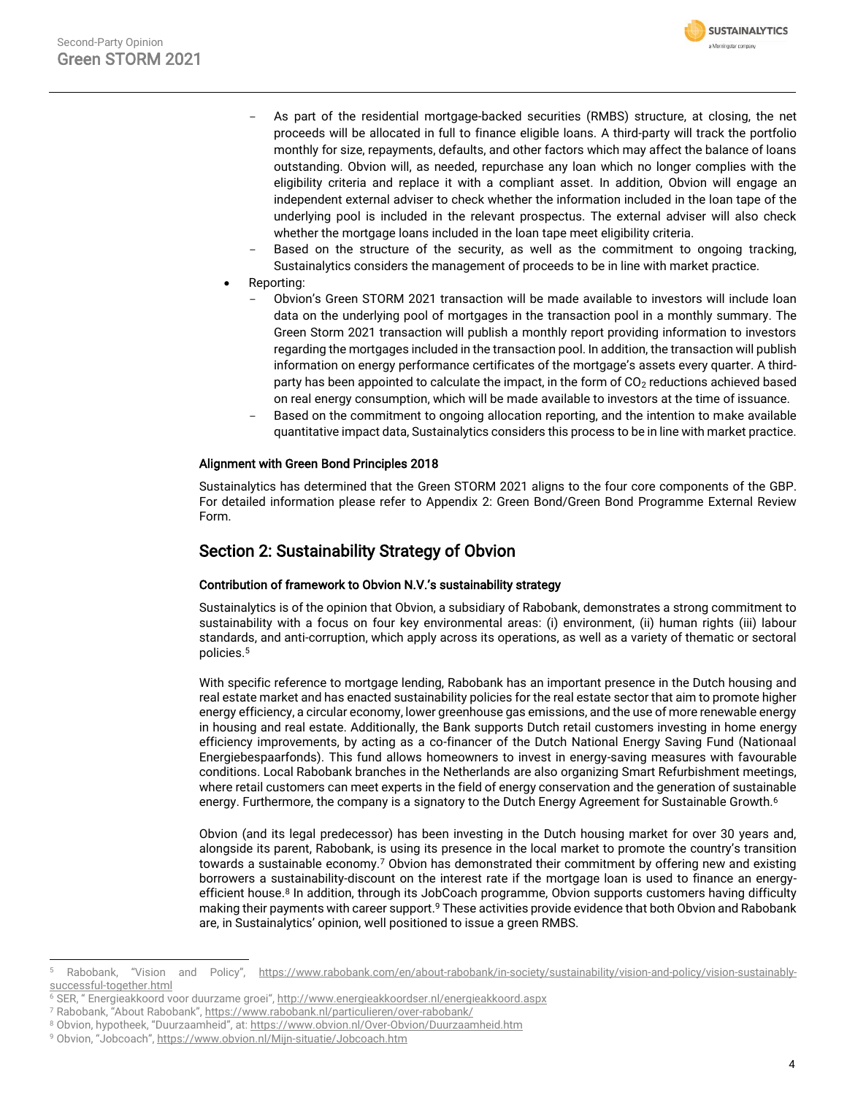

- As part of the residential mortgage-backed securities (RMBS) structure, at closing, the net proceeds will be allocated in full to finance eligible loans. A third-party will track the portfolio monthly for size, repayments, defaults, and other factors which may affect the balance of loans outstanding. Obvion will, as needed, repurchase any loan which no longer complies with the eligibility criteria and replace it with a compliant asset. In addition, Obvion will engage an independent external adviser to check whether the information included in the loan tape of the underlying pool is included in the relevant prospectus. The external adviser will also check whether the mortgage loans included in the loan tape meet eligibility criteria.
- Based on the structure of the security, as well as the commitment to ongoing tracking, Sustainalytics considers the management of proceeds to be in line with market practice.
- Reporting:
	- Obvion's Green STORM 2021 transaction will be made available to investors will include loan data on the underlying pool of mortgages in the transaction pool in a monthly summary. The Green Storm 2021 transaction will publish a monthly report providing information to investors regarding the mortgages included in the transaction pool. In addition, the transaction will publish information on energy performance certificates of the mortgage's assets every quarter. A thirdparty has been appointed to calculate the impact, in the form of  $CO<sub>2</sub>$  reductions achieved based on real energy consumption, which will be made available to investors at the time of issuance.
	- Based on the commitment to ongoing allocation reporting, and the intention to make available quantitative impact data, Sustainalytics considers this process to be in line with market practice.

#### Alignment with Green Bond Principles 2018

Sustainalytics has determined that the Green STORM 2021 aligns to the four core components of the GBP. For detailed information please refer to Appendix 2: Green Bond/Green Bond Programme External Review Form.

## Section 2: Sustainability Strategy of Obvion

#### Contribution of framework to Obvion N.V.'s sustainability strategy

Sustainalytics is of the opinion that Obvion, a subsidiary of Rabobank, demonstrates a strong commitment to sustainability with a focus on four key environmental areas: (i) environment, (ii) human rights (iii) labour standards, and anti-corruption, which apply across its operations, as well as a variety of thematic or sectoral policies.<sup>5</sup>

With specific reference to mortgage lending, Rabobank has an important presence in the Dutch housing and real estate market and has enacted sustainability policies for the real estate sector that aim to promote higher energy efficiency, a circular economy, lower greenhouse gas emissions, and the use of more renewable energy in housing and real estate. Additionally, the Bank supports Dutch retail customers investing in home energy efficiency improvements, by acting as a co-financer of the Dutch National Energy Saving Fund (Nationaal Energiebespaarfonds). This fund allows homeowners to invest in energy-saving measures with favourable conditions. Local Rabobank branches in the Netherlands are also organizing Smart Refurbishment meetings, where retail customers can meet experts in the field of energy conservation and the generation of sustainable energy. Furthermore, the company is a signatory to the Dutch Energy Agreement for Sustainable Growth.<sup>6</sup>

Obvion (and its legal predecessor) has been investing in the Dutch housing market for over 30 years and, alongside its parent, Rabobank, is using its presence in the local market to promote the country's transition towards a sustainable economy.<sup>7</sup> Obvion has demonstrated their commitment by offering new and existing borrowers a sustainability-discount on the interest rate if the mortgage loan is used to finance an energyefficient house.<sup>8</sup> In addition, through its JobCoach programme, Obvion supports customers having difficulty making their payments with career support.<sup>9</sup> These activities provide evidence that both Obvion and Rabobank are, in Sustainalytics' opinion, well positioned to issue a green RMBS.

Rabobank, "Vision and Policy", https://www.rabobank.com/en/about-rabobank/in-society/sustainability/vision-and-policy/vision-sustainablysuccessful-together.html

<sup>6</sup> SER, " Energieakkoord voor duurzame groei", <http://www.energieakkoordser.nl/energieakkoord.aspx>

<sup>7</sup> Rabobank, "About Rabobank", https://www.rabobank.nl/particulieren/over-rabobank/

<sup>8</sup> Obvion, hypotheek, "Duurzaamheid", at: <https://www.obvion.nl/Over-Obvion/Duurzaamheid.htm>

<sup>9</sup> Obvion, "Jobcoach", https://www.obvion.nl/Mijn-situatie/Jobcoach.htm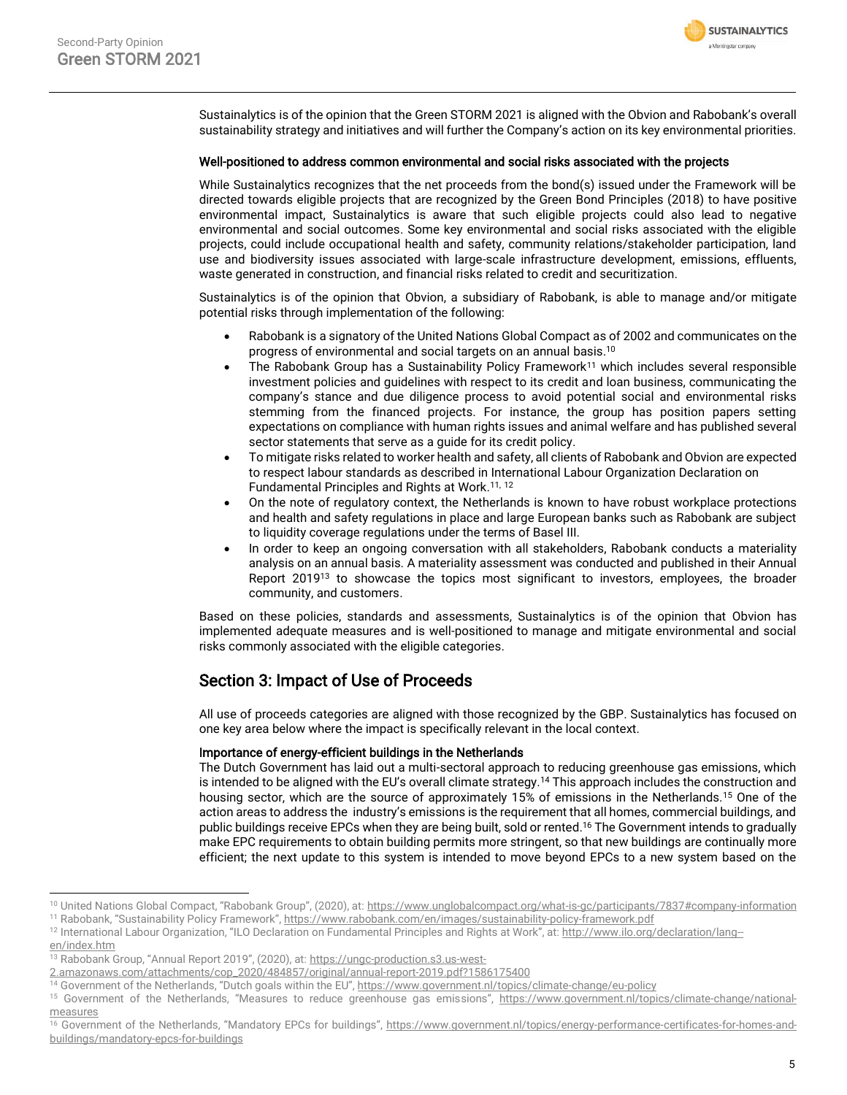Sustainalytics is of the opinion that the Green STORM 2021 is aligned with the Obvion and Rabobank's overall sustainability strategy and initiatives and will further the Company's action on its key environmental priorities.

### Well-positioned to address common environmental and social risks associated with the projects

While Sustainalytics recognizes that the net proceeds from the bond(s) issued under the Framework will be directed towards eligible projects that are recognized by the Green Bond Principles (2018) to have positive environmental impact, Sustainalytics is aware that such eligible projects could also lead to negative environmental and social outcomes. Some key environmental and social risks associated with the eligible projects, could include occupational health and safety, community relations/stakeholder participation, land use and biodiversity issues associated with large-scale infrastructure development, emissions, effluents, waste generated in construction, and financial risks related to credit and securitization.

Sustainalytics is of the opinion that Obvion, a subsidiary of Rabobank, is able to manage and/or mitigate potential risks through implementation of the following:

- Rabobank is a signatory of the United Nations Global Compact as of 2002 and communicates on the progress of environmental and social targets on an annual basis. 10
- The Rabobank Group has a Sustainability Policy Framework<sup>11</sup> which includes several responsible investment policies and guidelines with respect to its credit and loan business, communicating the company's stance and due diligence process to avoid potential social and environmental risks stemming from the financed projects. For instance, the group has position papers setting expectations on compliance with human rights issues and animal welfare and has published several sector statements that serve as a guide for its credit policy.
- To mitigate risks related to worker health and safety, all clients of Rabobank and Obvion are expected to respect labour standards as described in International Labour Organization Declaration on Fundamental Principles and Rights at Work.<sup>[11,](#page-4-0) 12</sup>
- On the note of regulatory context, the Netherlands is known to have robust workplace protections and health and safety regulations in place and large European banks such as Rabobank are subject to liquidity coverage regulations under the terms of Basel III.
- In order to keep an ongoing conversation with all stakeholders, Rabobank conducts a materiality analysis on an annual basis. A materiality assessment was conducted and published in their Annual Report 2019<sup>13</sup> to showcase the topics most significant to investors, employees, the broader community, and customers.

Based on these policies, standards and assessments, Sustainalytics is of the opinion that Obvion has implemented adequate measures and is well-positioned to manage and mitigate environmental and social risks commonly associated with the eligible categories.

## Section 3: Impact of Use of Proceeds

All use of proceeds categories are aligned with those recognized by the GBP. Sustainalytics has focused on one key area below where the impact is specifically relevant in the local context.

#### Importance of energy-efficient buildings in the Netherlands

The Dutch Government has laid out a multi-sectoral approach to reducing greenhouse gas emissions, which is intended to be aligned with the EU's overall climate strategy.<sup>14</sup> This approach includes the construction and housing sector, which are the source of approximately 15% of emissions in the Netherlands.<sup>15</sup> One of the action areas to address the industry's emissions is the requirement that all homes, commercial buildings, and public buildings receive EPCs when they are being built, sold or rented. <sup>16</sup> The Government intends to gradually make EPC requirements to obtain building permits more stringent, so that new buildings are continually more efficient; the next update to this system is intended to move beyond EPCs to a new system based on the

<span id="page-4-0"></span>**SUSTAINALYTICS** a Morningstar company

<sup>&</sup>lt;sup>10</sup> United Nations Global Compact, "Rabobank Group", (2020), at: <https://www.unglobalcompact.org/what-is-gc/participants/7837#company-information>

<sup>&</sup>lt;sup>11</sup> Rabobank, "Sustainability Policy Framework", https://www.rabobank.com/en/images/sustainability-policy-framework.pdf

<sup>&</sup>lt;sup>12</sup> International Labour Organization, "ILO Declaration on Fundamental Principles and Rights at Work", at: http://www.ilo.org/declaration/lang[en/index.htm](http://www.ilo.org/declaration/lang--en/index.htm)

<sup>13</sup> Rabobank Group, "Annual Report 2019", (2020), at: [https://ungc-production.s3.us-west-](https://ungc-production.s3.us-west-2.amazonaws.com/attachments/cop_2020/484857/original/annual-report-2019.pdf?1586175400)

[<sup>2.</sup>amazonaws.com/attachments/cop\\_2020/484857/original/annual-report-2019.pdf?1586175400](https://ungc-production.s3.us-west-2.amazonaws.com/attachments/cop_2020/484857/original/annual-report-2019.pdf?1586175400)

<sup>14</sup> Government of the Netherlands, "Dutch goals within the EU", https://www.government.nl/topics/climate-change/eu-policy

<sup>15</sup> Government of the Netherlands, "Measures to reduce greenhouse gas emissions", https://www.government.nl/topics/climate-change/nationalmeasures

<sup>16</sup> Government of the Netherlands, "Mandatory EPCs for buildings", https://www.government.nl/topics/energy-performance-certificates-for-homes-andbuildings/mandatory-epcs-for-buildings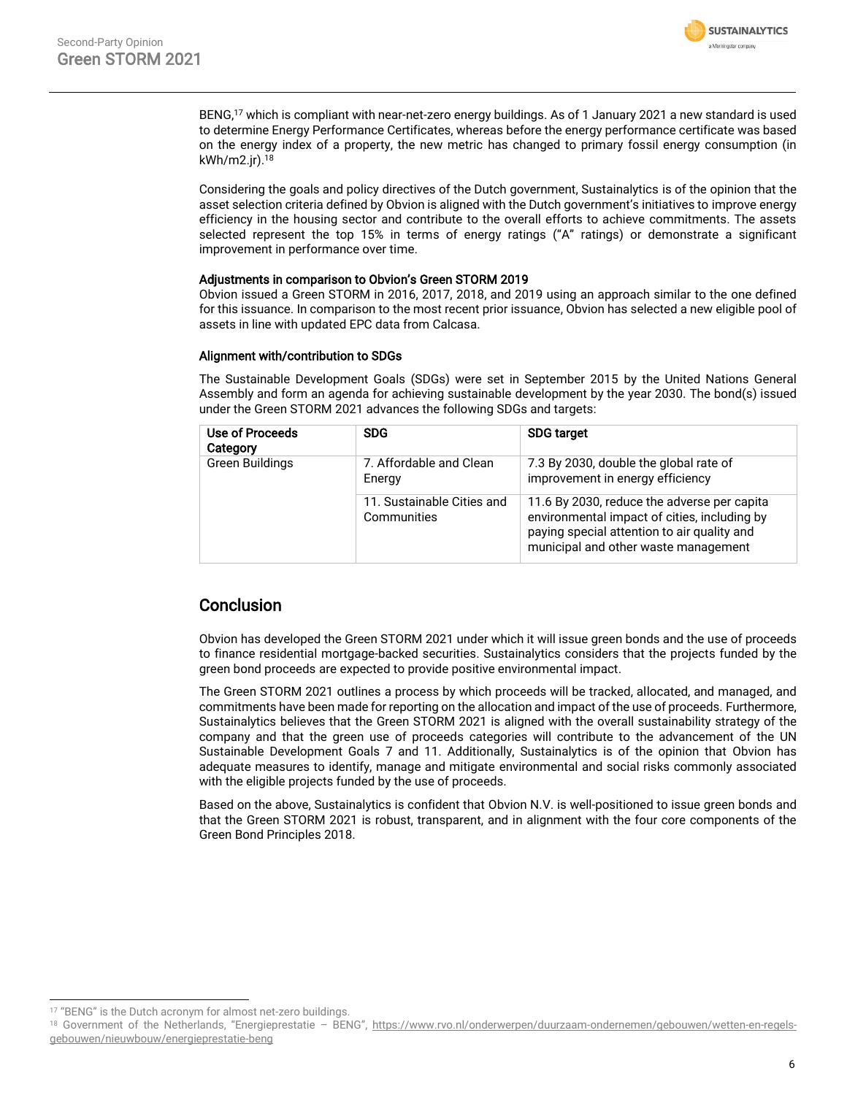

BENG,<sup>17</sup> which is compliant with near-net-zero energy buildings. As of 1 January 2021 a new standard is used to determine Energy Performance Certificates, whereas before the energy performance certificate was based on the energy index of a property, the new metric has changed to primary fossil energy consumption (in kWh/m2.jr). 18

Considering the goals and policy directives of the Dutch government, Sustainalytics is of the opinion that the asset selection criteria defined by Obvion is aligned with the Dutch government's initiatives to improve energy efficiency in the housing sector and contribute to the overall efforts to achieve commitments. The assets selected represent the top 15% in terms of energy ratings ("A" ratings) or demonstrate a significant improvement in performance over time.

#### Adjustments in comparison to Obvion's Green STORM 2019

Obvion issued a Green STORM in 2016, 2017, 2018, and 2019 using an approach similar to the one defined for this issuance. In comparison to the most recent prior issuance, Obvion has selected a new eligible pool of assets in line with updated EPC data from Calcasa.

#### Alignment with/contribution to SDGs

The Sustainable Development Goals (SDGs) were set in September 2015 by the United Nations General Assembly and form an agenda for achieving sustainable development by the year 2030. The bond(s) issued under the Green STORM 2021 advances the following SDGs and targets:

| Use of Proceeds<br>Category | <b>SDG</b>                                | <b>SDG target</b>                                                                                                                                                                  |
|-----------------------------|-------------------------------------------|------------------------------------------------------------------------------------------------------------------------------------------------------------------------------------|
| <b>Green Buildings</b>      | 7. Affordable and Clean<br>Energy         | 7.3 By 2030, double the global rate of<br>improvement in energy efficiency                                                                                                         |
|                             | 11. Sustainable Cities and<br>Communities | 11.6 By 2030, reduce the adverse per capita<br>environmental impact of cities, including by<br>paying special attention to air quality and<br>municipal and other waste management |

## Conclusion

Obvion has developed the Green STORM 2021 under which it will issue green bonds and the use of proceeds to finance residential mortgage-backed securities. Sustainalytics considers that the projects funded by the green bond proceeds are expected to provide positive environmental impact.

The Green STORM 2021 outlines a process by which proceeds will be tracked, allocated, and managed, and commitments have been made for reporting on the allocation and impact of the use of proceeds. Furthermore, Sustainalytics believes that the Green STORM 2021 is aligned with the overall sustainability strategy of the company and that the green use of proceeds categories will contribute to the advancement of the UN Sustainable Development Goals 7 and 11. Additionally, Sustainalytics is of the opinion that Obvion has adequate measures to identify, manage and mitigate environmental and social risks commonly associated with the eligible projects funded by the use of proceeds.

Based on the above, Sustainalytics is confident that Obvion N.V. is well-positioned to issue green bonds and that the Green STORM 2021 is robust, transparent, and in alignment with the four core components of the Green Bond Principles 2018.

<sup>&</sup>lt;sup>17</sup> "BENG" is the Dutch acronym for almost net-zero buildings.

<sup>18</sup> Government of the Netherlands, "Energieprestatie - BENG", https://www.rvo.nl/onderwerpen/duurzaam-ondernemen/gebouwen/wetten-en-regelsgebouwen/nieuwbouw/energieprestatie-beng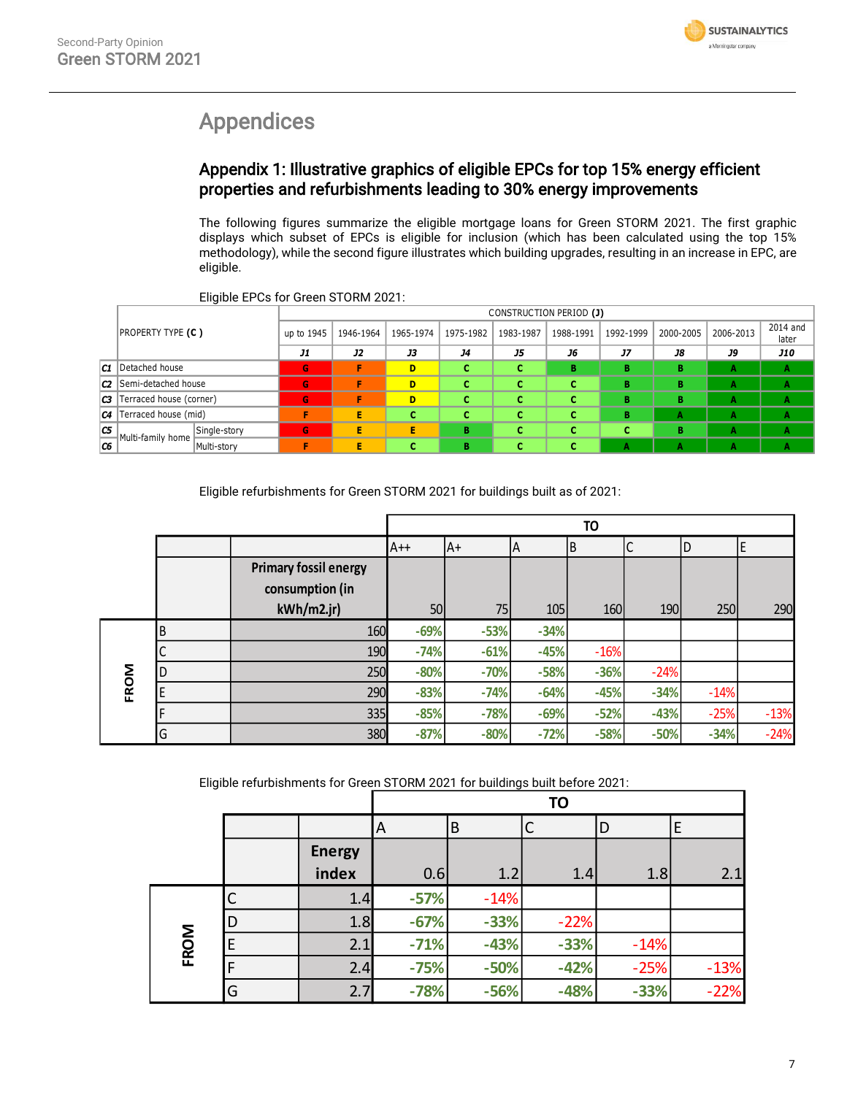

# <span id="page-6-0"></span>Appendices

# Appendix 1: Illustrative graphics of eligible EPCs for top 15% energy efficient properties and refurbishments leading to 30% energy improvements

The following figures summarize the eligible mortgage loans for Green STORM 2021. The first graphic displays which subset of EPCs is eligible for inclusion (which has been calculated using the top 15% methodology), while the second figure illustrates which building upgrades, resulting in an increase in EPC, are eligible.

|    |                               |              |            |           |           |           |           | CONSTRUCTION PERIOD (J) |           |           |           |                   |
|----|-------------------------------|--------------|------------|-----------|-----------|-----------|-----------|-------------------------|-----------|-----------|-----------|-------------------|
|    | <b>PROPERTY TYPE (C)</b>      |              | up to 1945 | 1946-1964 | 1965-1974 | 1975-1982 | 1983-1987 | 1988-1991               | 1992-1999 | 2000-2005 | 2006-2013 | 2014 and<br>later |
|    |                               |              | J1         | <b>J2</b> | <b>J3</b> | <b>J4</b> | J5        | J6                      | <b>J7</b> | J8        | J9        | <b>J10</b>        |
|    | <b>C1</b> Detached house      |              | G          |           | D         |           | c         | в                       | в         | в         | А         | A                 |
|    | <b>C2</b> Semi-detached house |              | G          |           | D         |           | c         | c                       | в         | в         | А         | А                 |
| CЗ | Terraced house (corner)       |              | G          | п         | D         |           | с         | c                       | в         | в         | А         | А                 |
|    | $ C4 $ Terraced house (mid)   |              |            | E         | c         | c         | c         | c                       | в         | А         | А         | А                 |
| C5 | Multi-family home             | Single-story | G          | п         | Е         | в         | e         | с                       |           | в         | А         | А                 |
| C6 |                               | Multi-story  |            | Е         |           | в         |           | C                       | А         | А         | А         | A                 |

Eligible EPCs for Green STORM 2021:

Eligible refurbishments for Green STORM 2021 for buildings built as of 2021:

|      |    |                              |        |        |        | <b>TO</b> |        |        |        |
|------|----|------------------------------|--------|--------|--------|-----------|--------|--------|--------|
|      |    |                              | $A++$  | lA+    | ΙA     | B         |        | D      |        |
|      |    | <b>Primary fossil energy</b> |        |        |        |           |        |        |        |
|      |    | consumption (in              |        |        |        |           |        |        |        |
|      |    | kWh/m2.jr                    | 50     | 75     | 105    | 160       | 190    | 250    | 290    |
|      | ΙB | 160                          | $-69%$ | $-53%$ | $-34%$ |           |        |        |        |
|      |    | 190                          | $-74%$ | $-61%$ | $-45%$ | $-16%$    |        |        |        |
|      | ١D | 250                          | $-80%$ | $-70%$ | $-58%$ | $-36%$    | $-24%$ |        |        |
| FROM | E  | 290                          | $-83%$ | $-74%$ | $-64%$ | $-45%$    | $-34%$ | $-14%$ |        |
|      | F  | 335                          | $-85%$ | $-78%$ | $-69%$ | $-52%$    | $-43%$ | $-25%$ | $-13%$ |
|      | G  | 380                          | $-87%$ | $-80%$ | $-72%$ | $-58%$    | $-50%$ | $-34%$ | $-24%$ |

Eligible refurbishments for Green STORM 2021 for buildings built before 2021:

|      |   |               |        |        | <b>TO</b> |        |        |
|------|---|---------------|--------|--------|-----------|--------|--------|
|      |   |               | A      | B      |           | D      | E      |
|      |   | <b>Energy</b> |        |        |           |        |        |
|      |   | index         | 0.6    | 1.2    | 1.4       | 1.8    | 2.1    |
|      |   | 1.4           | $-57%$ | $-14%$ |           |        |        |
|      | D | 1.8           | $-67%$ | $-33%$ | $-22%$    |        |        |
| FROM | F | 2.1           | $-71%$ | $-43%$ | $-33%$    | $-14%$ |        |
|      |   | 2.4           | $-75%$ | $-50%$ | $-42%$    | $-25%$ | $-13%$ |
|      | G | 2.7           | $-78%$ | $-56%$ | $-48%$    | $-33%$ | $-22%$ |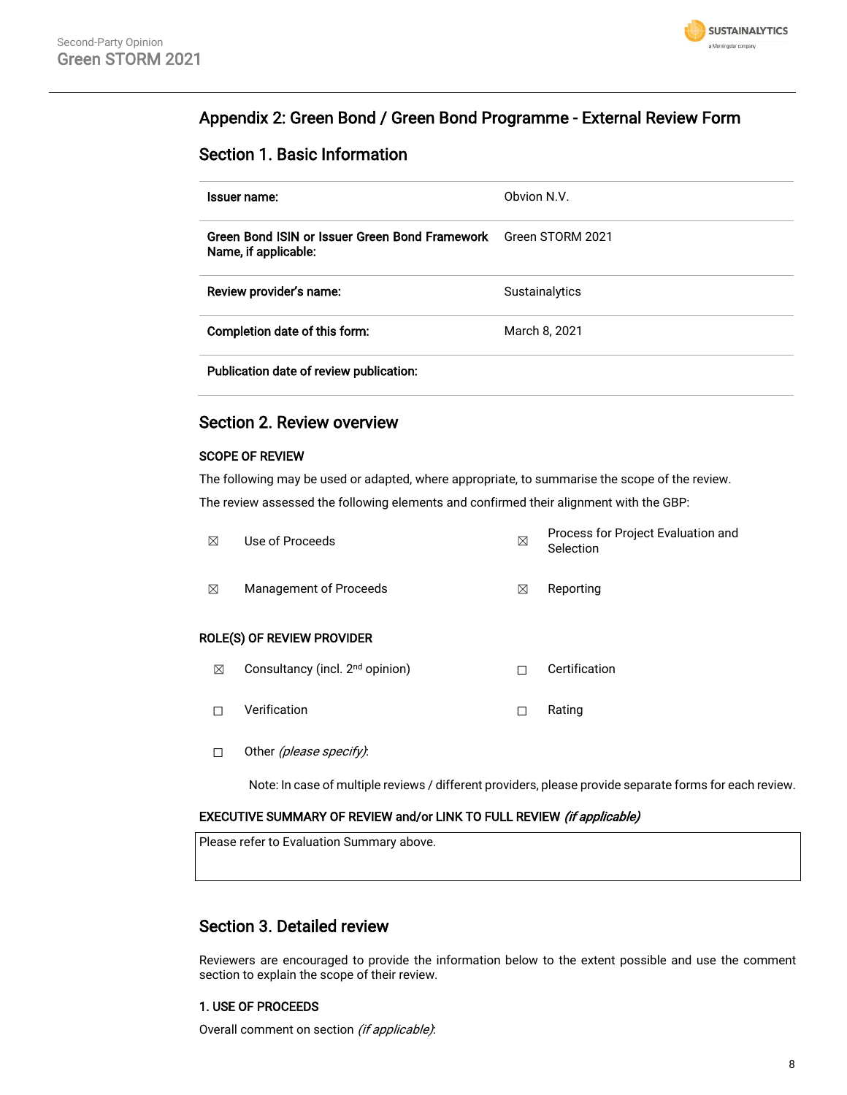

# Appendix 2: Green Bond / Green Bond Programme - External Review Form

# Section 1. Basic Information

| Issuer name:                                                           | Obvion N.V.           |
|------------------------------------------------------------------------|-----------------------|
| Green Bond ISIN or Issuer Green Bond Framework<br>Name, if applicable: | Green STORM 2021      |
| Review provider's name:                                                | <b>Sustainalytics</b> |
| Completion date of this form:                                          | March 8, 2021         |
| Publication date of review publication:                                |                       |

## Section 2. Review overview

#### SCOPE OF REVIEW

The following may be used or adapted, where appropriate, to summarise the scope of the review. The review assessed the following elements and confirmed their alignment with the GBP:

| ⊠ | Use of Proceeds                             | ⊠ | Process for Project Evaluation and<br>Selection |
|---|---------------------------------------------|---|-------------------------------------------------|
| ⊠ | Management of Proceeds                      | ⊠ | Reporting                                       |
|   | ROLE(S) OF REVIEW PROVIDER                  |   |                                                 |
| ⊠ | Consultancy (incl. 2 <sup>nd</sup> opinion) |   | Certification                                   |

- ☐ Verification ☐ Rating
- □ Other (please specify):

Note: In case of multiple reviews / different providers, please provide separate forms for each review.

#### EXECUTIVE SUMMARY OF REVIEW and/or LINK TO FULL REVIEW (if applicable)

Please refer to Evaluation Summary above.

## Section 3. Detailed review

Reviewers are encouraged to provide the information below to the extent possible and use the comment section to explain the scope of their review.

#### 1. USE OF PROCEEDS

Overall comment on section (if applicable):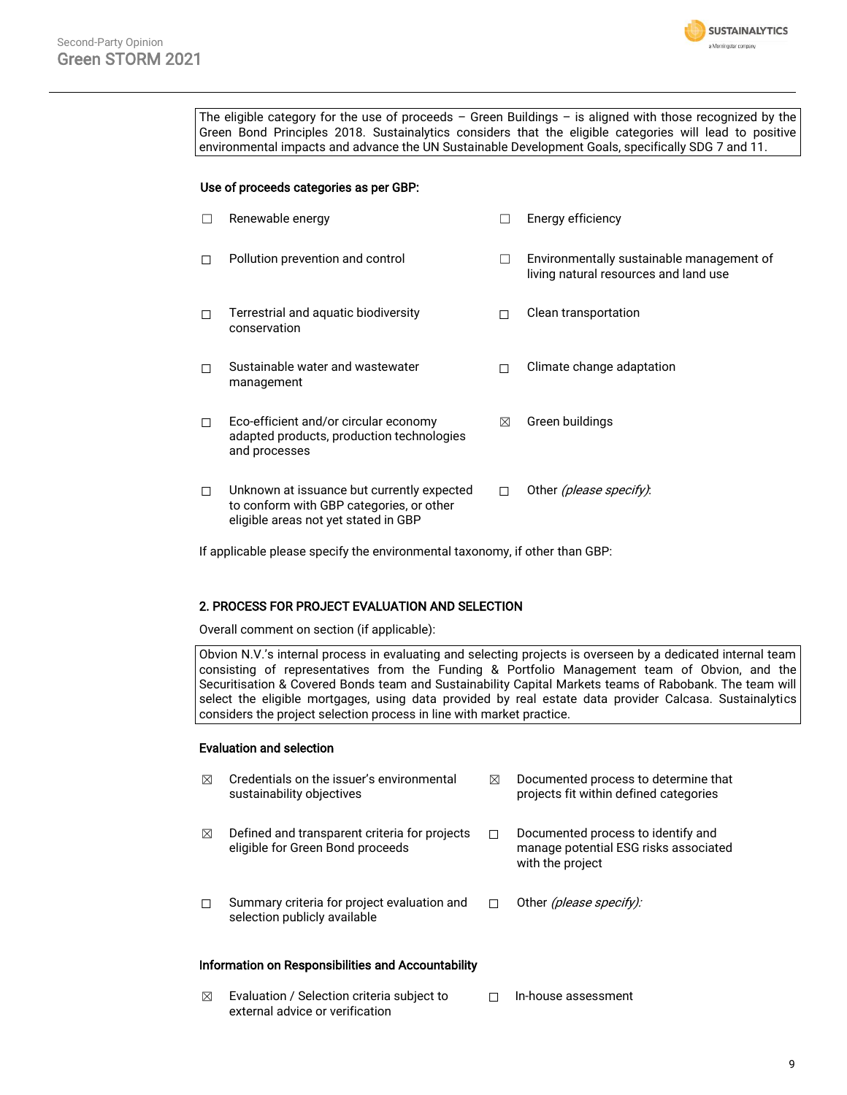

The eligible category for the use of proceeds – Green Buildings – is aligned with those recognized by the Green Bond Principles 2018. Sustainalytics considers that the eligible categories will lead to positive environmental impacts and advance the UN Sustainable Development Goals, specifically SDG 7 and 11.

#### Use of proceeds categories as per GBP:

| П | Renewable energy                                                                                                               | $\mathbf{I}$ | Energy efficiency                                                                  |
|---|--------------------------------------------------------------------------------------------------------------------------------|--------------|------------------------------------------------------------------------------------|
| п | Pollution prevention and control                                                                                               | $\perp$      | Environmentally sustainable management of<br>living natural resources and land use |
| п | Terrestrial and aquatic biodiversity<br>conservation                                                                           |              | Clean transportation                                                               |
| п | Sustainable water and wastewater<br>management                                                                                 | П            | Climate change adaptation                                                          |
| □ | Eco-efficient and/or circular economy<br>adapted products, production technologies<br>and processes                            | ⊠            | Green buildings                                                                    |
| □ | Unknown at issuance but currently expected<br>to conform with GBP categories, or other<br>eligible areas not yet stated in GBP | п            | Other (please specify):                                                            |

If applicable please specify the environmental taxonomy, if other than GBP:

#### 2. PROCESS FOR PROJECT EVALUATION AND SELECTION

Overall comment on section (if applicable):

Obvion N.V.'s internal process in evaluating and selecting projects is overseen by a dedicated internal team consisting of representatives from the Funding & Portfolio Management team of Obvion, and the Securitisation & Covered Bonds team and Sustainability Capital Markets teams of Rabobank. The team will select the eligible mortgages, using data provided by real estate data provider Calcasa. Sustainalytics considers the project selection process in line with market practice.

#### Evaluation and selection

| ⊠ | Credentials on the issuer's environmental<br>sustainability objectives            | ⊠ | Documented process to determine that<br>projects fit within defined categories                  |
|---|-----------------------------------------------------------------------------------|---|-------------------------------------------------------------------------------------------------|
| ⊠ | Defined and transparent criteria for projects<br>eligible for Green Bond proceeds |   | Documented process to identify and<br>manage potential ESG risks associated<br>with the project |
| П | Summary criteria for project evaluation and<br>selection publicly available       |   | Other <i>(please specify):</i>                                                                  |

### Information on Responsibilities and Accountability

 $\boxtimes$  Evaluation / Selection criteria subject to external advice or verification ☐ In-house assessment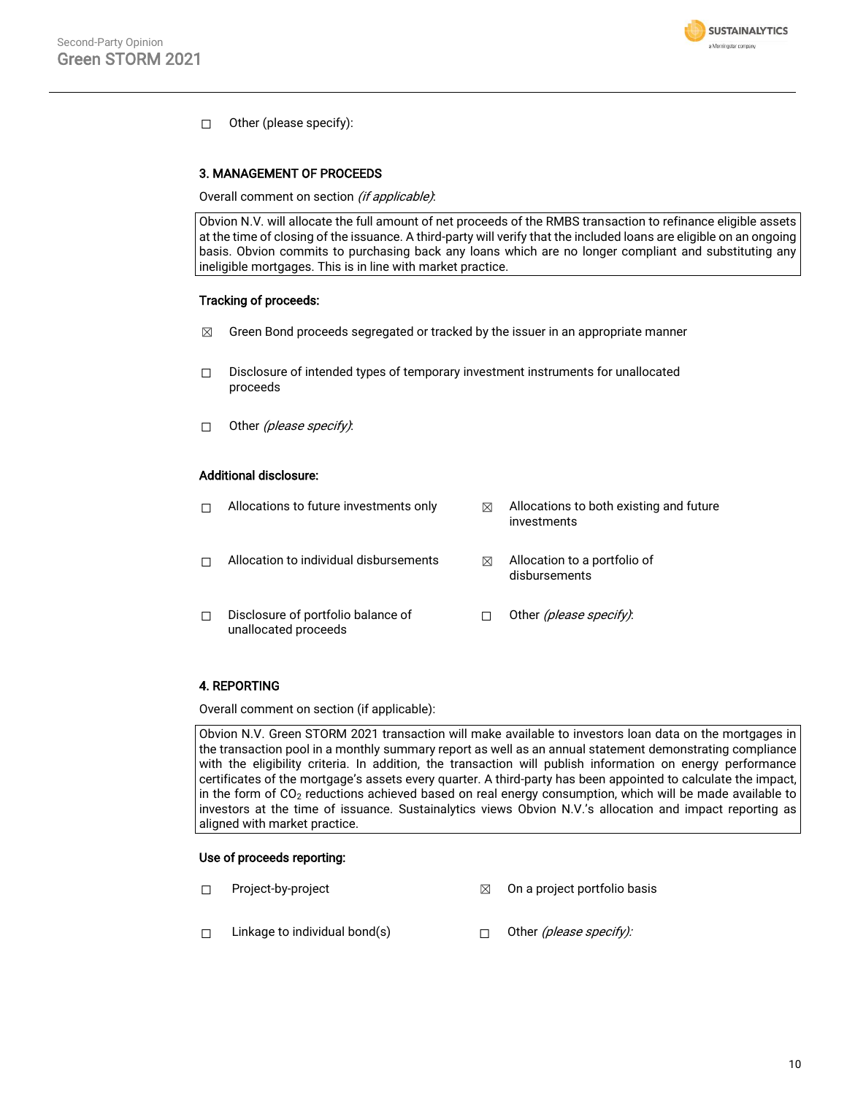

☐ Other (please specify):

#### 3. MANAGEMENT OF PROCEEDS

Overall comment on section (if applicable):

Obvion N.V. will allocate the full amount of net proceeds of the RMBS transaction to refinance eligible assets at the time of closing of the issuance. A third-party will verify that the included loans are eligible on an ongoing basis. Obvion commits to purchasing back any loans which are no longer compliant and substituting any ineligible mortgages. This is in line with market practice.

### Tracking of proceeds:

- $\boxtimes$  Green Bond proceeds segregated or tracked by the issuer in an appropriate manner
- ☐ Disclosure of intended types of temporary investment instruments for unallocated proceeds
- □ Other (please specify):

#### Additional disclosure:

|   | Allocations to future investments only                     | ⊠ | Allocations to both existing and future<br>investments |
|---|------------------------------------------------------------|---|--------------------------------------------------------|
|   | Allocation to individual disbursements                     | ⊠ | Allocation to a portfolio of<br>disbursements          |
| П | Disclosure of portfolio balance of<br>unallocated proceeds |   | Other (please specify).                                |

#### 4. REPORTING

Overall comment on section (if applicable):

Obvion N.V. Green STORM 2021 transaction will make available to investors loan data on the mortgages in the transaction pool in a monthly summary report as well as an annual statement demonstrating compliance with the eligibility criteria. In addition, the transaction will publish information on energy performance certificates of the mortgage's assets every quarter. A third-party has been appointed to calculate the impact, in the form of CO<sub>2</sub> reductions achieved based on real energy consumption, which will be made available to investors at the time of issuance. Sustainalytics views Obvion N.V.'s allocation and impact reporting as aligned with market practice.

#### Use of proceeds reporting:

- ☐ Project-by-project ☒ On a project portfolio basis
- □ Linkage to individual bond(s) □ Other (please specify):
-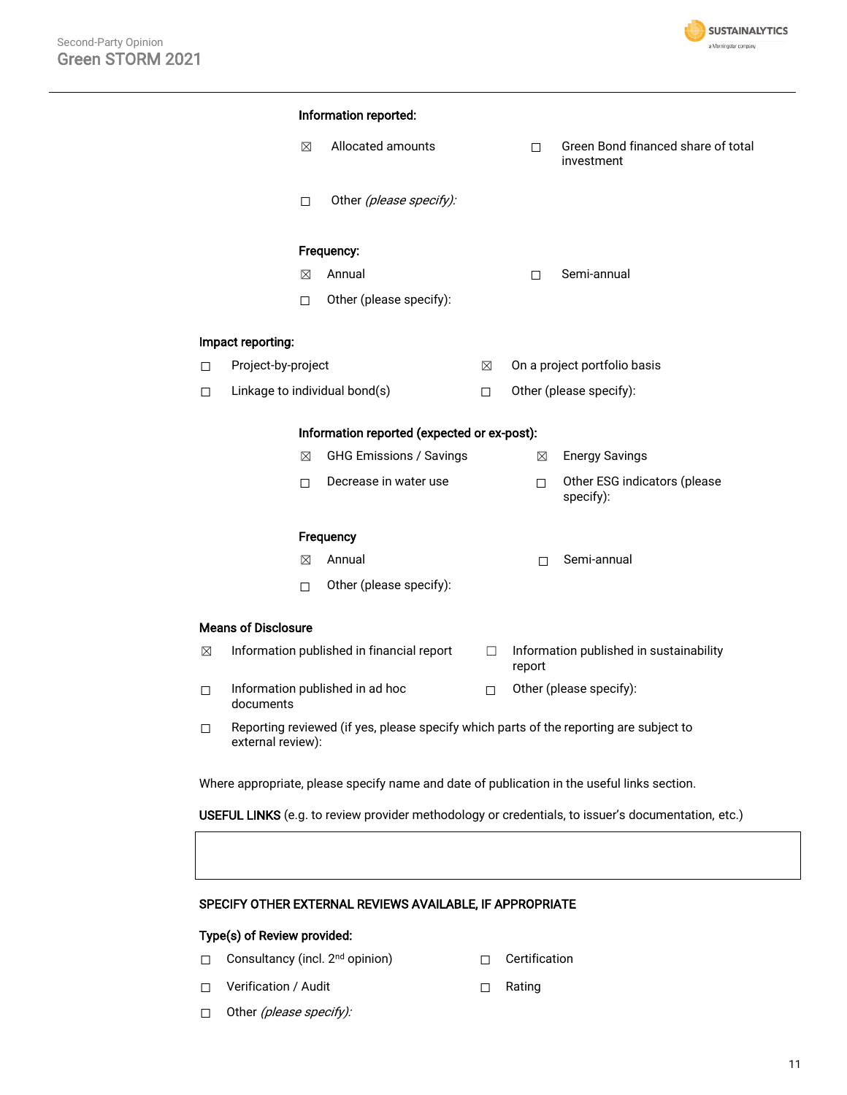

|        | Allocated amounts<br>⊠                                                                                      |   | □      | Green Bond financed share of total<br>investment |
|--------|-------------------------------------------------------------------------------------------------------------|---|--------|--------------------------------------------------|
|        | Other (please specify):<br>□                                                                                |   |        |                                                  |
|        | Frequency:                                                                                                  |   |        |                                                  |
|        | Annual<br>⊠                                                                                                 |   | □      | Semi-annual                                      |
|        | Other (please specify):<br>□                                                                                |   |        |                                                  |
|        | Impact reporting:                                                                                           |   |        |                                                  |
| □      | Project-by-project                                                                                          | ⊠ |        | On a project portfolio basis                     |
| $\Box$ | Linkage to individual bond(s)                                                                               | □ |        | Other (please specify):                          |
|        | Information reported (expected or ex-post):                                                                 |   |        |                                                  |
|        | <b>GHG Emissions / Savings</b><br>⊠                                                                         |   | ⊠      | <b>Energy Savings</b>                            |
|        | Decrease in water use<br>□                                                                                  |   | $\Box$ | Other ESG indicators (please<br>specify):        |
|        | Frequency                                                                                                   |   |        |                                                  |
|        | Annual<br>⊠                                                                                                 |   | П      | Semi-annual                                      |
|        | Other (please specify):<br>□                                                                                |   |        |                                                  |
|        | <b>Means of Disclosure</b>                                                                                  |   |        |                                                  |
| ⊠      | Information published in financial report                                                                   | □ | report | Information published in sustainability          |
| □      | Information published in ad hoc<br>documents                                                                | □ |        | Other (please specify):                          |
| $\Box$ | Reporting reviewed (if yes, please specify which parts of the reporting are subject to<br>external review): |   |        |                                                  |

### SPECIFY OTHER EXTERNAL REVIEWS AVAILABLE, IF APPROPRIATE

### Type(s) of Review provided:

- □ Consultancy (incl. 2<sup>nd</sup> opinion) □ □ Certification
	-
- ☐ Verification / Audit ☐ Rating
	-

□ Other (please specify):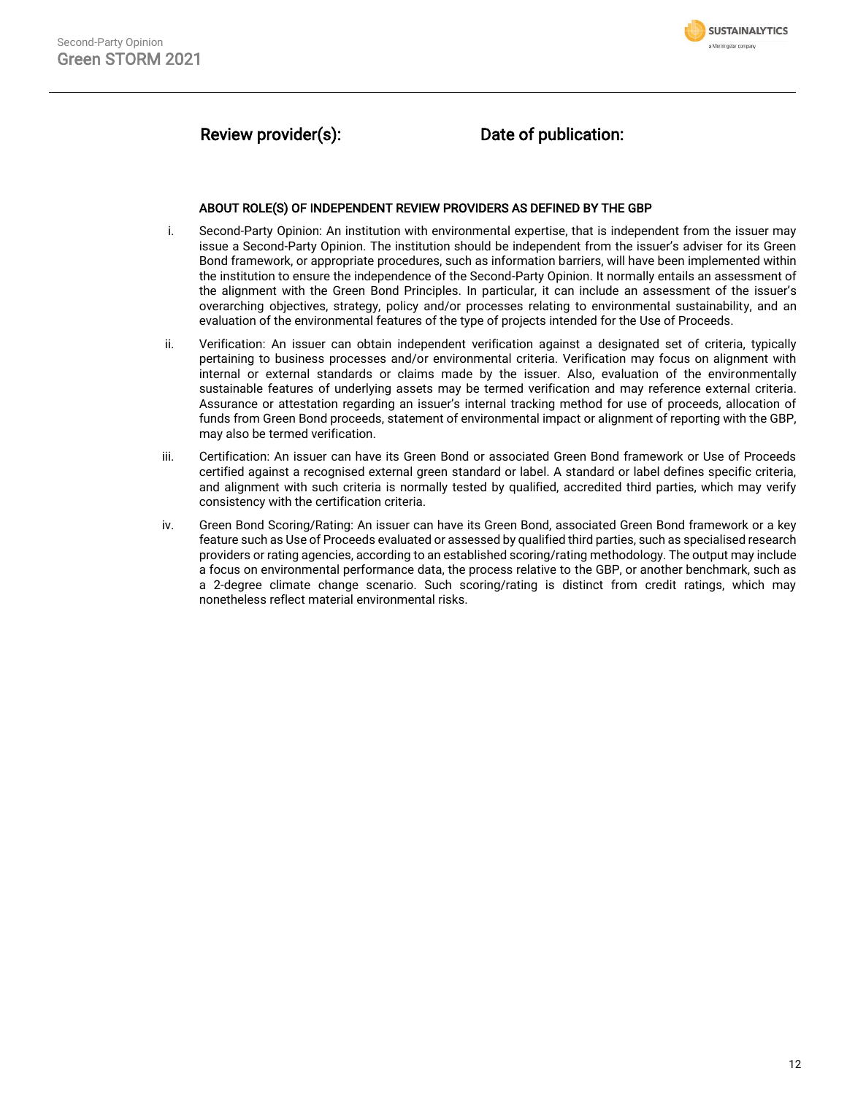

# Review provider(s): Date of publication:

#### ABOUT ROLE(S) OF INDEPENDENT REVIEW PROVIDERS AS DEFINED BY THE GBP

- i. Second-Party Opinion: An institution with environmental expertise, that is independent from the issuer may issue a Second-Party Opinion. The institution should be independent from the issuer's adviser for its Green Bond framework, or appropriate procedures, such as information barriers, will have been implemented within the institution to ensure the independence of the Second-Party Opinion. It normally entails an assessment of the alignment with the Green Bond Principles. In particular, it can include an assessment of the issuer's overarching objectives, strategy, policy and/or processes relating to environmental sustainability, and an evaluation of the environmental features of the type of projects intended for the Use of Proceeds.
- ii. Verification: An issuer can obtain independent verification against a designated set of criteria, typically pertaining to business processes and/or environmental criteria. Verification may focus on alignment with internal or external standards or claims made by the issuer. Also, evaluation of the environmentally sustainable features of underlying assets may be termed verification and may reference external criteria. Assurance or attestation regarding an issuer's internal tracking method for use of proceeds, allocation of funds from Green Bond proceeds, statement of environmental impact or alignment of reporting with the GBP, may also be termed verification.
- iii. Certification: An issuer can have its Green Bond or associated Green Bond framework or Use of Proceeds certified against a recognised external green standard or label. A standard or label defines specific criteria, and alignment with such criteria is normally tested by qualified, accredited third parties, which may verify consistency with the certification criteria.
- iv. Green Bond Scoring/Rating: An issuer can have its Green Bond, associated Green Bond framework or a key feature such as Use of Proceeds evaluated or assessed by qualified third parties, such as specialised research providers or rating agencies, according to an established scoring/rating methodology. The output may include a focus on environmental performance data, the process relative to the GBP, or another benchmark, such as a 2-degree climate change scenario. Such scoring/rating is distinct from credit ratings, which may nonetheless reflect material environmental risks.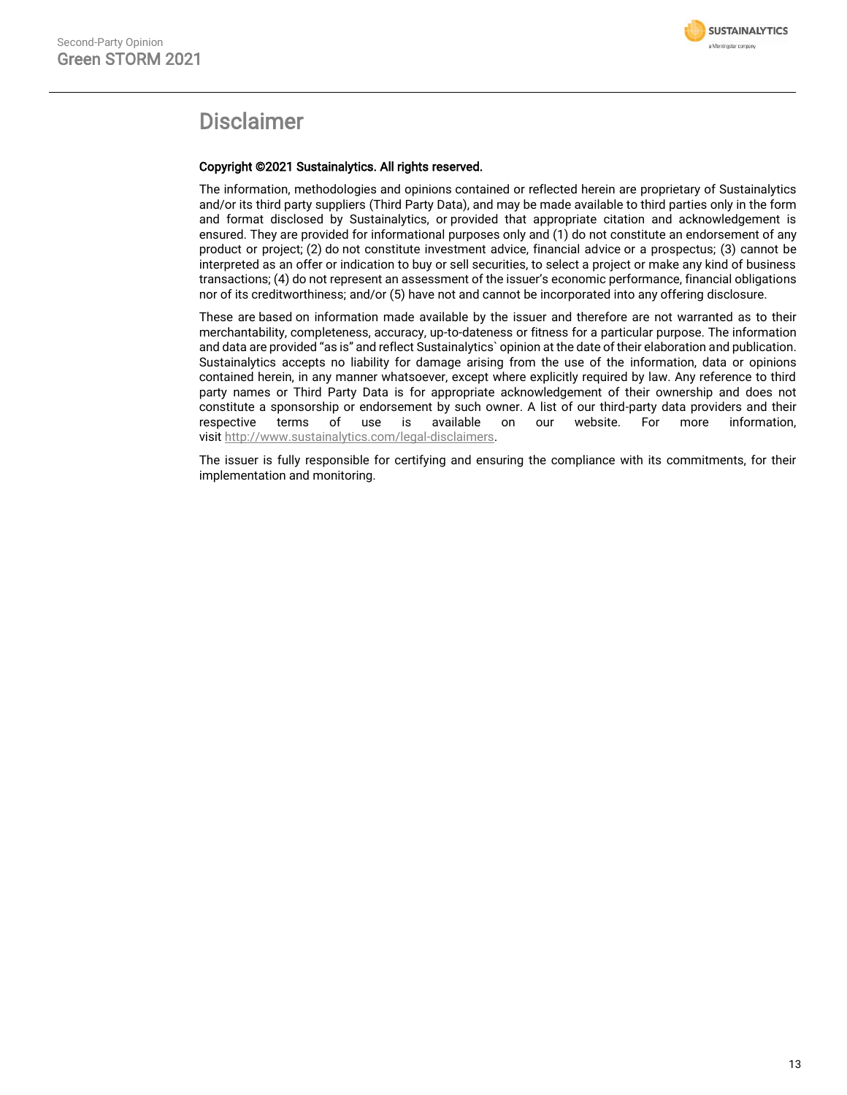

# Disclaimer

#### Copyright ©2021 Sustainalytics. All rights reserved.

The information, methodologies and opinions contained or reflected herein are proprietary of Sustainalytics and/or its third party suppliers (Third Party Data), and may be made available to third parties only in the form and format disclosed by Sustainalytics, or provided that appropriate citation and acknowledgement is ensured. They are provided for informational purposes only and (1) do not constitute an endorsement of any product or project; (2) do not constitute investment advice, financial advice or a prospectus; (3) cannot be interpreted as an offer or indication to buy or sell securities, to select a project or make any kind of business transactions; (4) do not represent an assessment of the issuer's economic performance, financial obligations nor of its creditworthiness; and/or (5) have not and cannot be incorporated into any offering disclosure.

These are based on information made available by the issuer and therefore are not warranted as to their merchantability, completeness, accuracy, up-to-dateness or fitness for a particular purpose. The information and data are provided "as is" and reflect Sustainalytics` opinion at the date of their elaboration and publication. Sustainalytics accepts no liability for damage arising from the use of the information, data or opinions contained herein, in any manner whatsoever, except where explicitly required by law. Any reference to third party names or Third Party Data is for appropriate acknowledgement of their ownership and does not constitute a sponsorship or endorsement by such owner. A list of our third-party data providers and their respective terms of use is available on our website. For more information, visit [http://www.sustainalytics.com/legal-disclaimers.](http://www.sustainalytics.com/legal-disclaimers)

The issuer is fully responsible for certifying and ensuring the compliance with its commitments, for their implementation and monitoring.